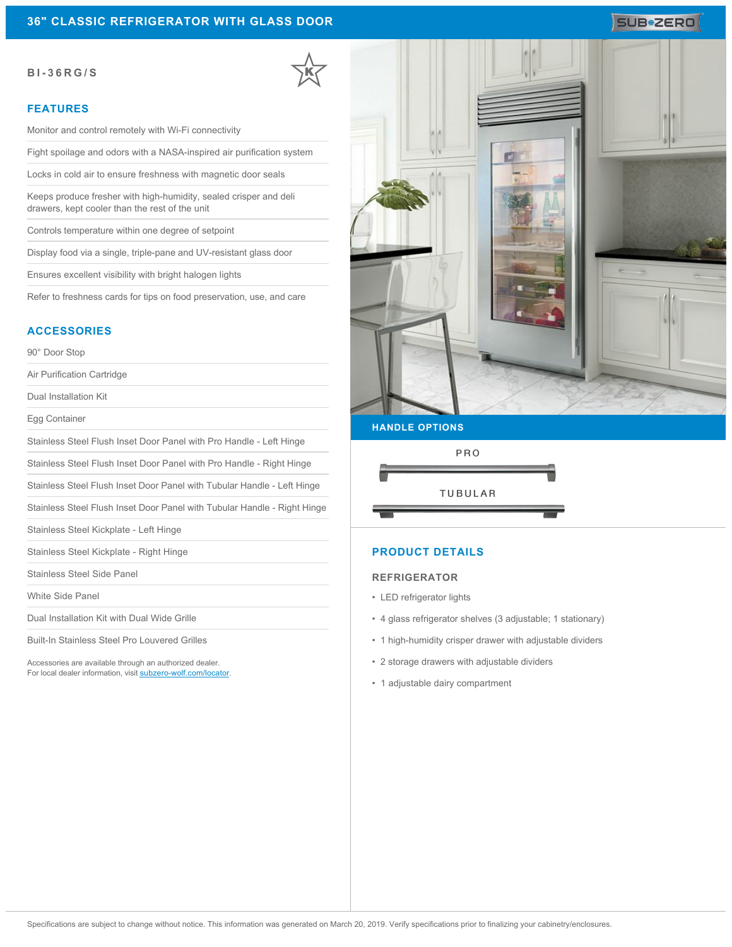### **BI-36RG/S**

## **FEATURES**

Monitor and control remotely with Wi-Fi connectivity

Fight spoilage and odors with a NASA-inspired air purification system

Locks in cold air to ensure freshness with magnetic door seals

Keeps produce fresher with high-humidity, sealed crisper and deli drawers, kept cooler than the rest of the unit

Controls temperature within one degree of setpoint

Display food via a single, triple-pane and UV-resistant glass door

Ensures excellent visibility with bright halogen lights

Refer to freshness cards for tips on food preservation, use, and care

#### **ACCESSORIES**

90° Door Stop

Air Purification Cartridge

Dual Installation Kit

Egg Container

Stainless Steel Flush Inset Door Panel with Pro Handle - Left Hinge

Stainless Steel Flush Inset Door Panel with Pro Handle - Right Hinge

Stainless Steel Flush Inset Door Panel with Tubular Handle - Left Hinge

Stainless Steel Flush Inset Door Panel with Tubular Handle - Right Hinge

Stainless Steel Kickplate - Left Hinge

Stainless Steel Kickplate - Right Hinge

Stainless Steel Side Panel

White Side Panel

Dual Installation Kit with Dual Wide Grille

Built-In Stainless Steel Pro Louvered Grilles

Accessories are available through an authorized dealer. For local dealer information, visit [subzero-wolf.com/locator.](http://www.subzero-wolf.com/locator)



**HANDLE OPTIONS**



## **PRODUCT DETAILS**

#### **REFRIGERATOR**

- LED refrigerator lights
- 4 glass refrigerator shelves (3 adjustable; 1 stationary)
- 1 high-humidity crisper drawer with adjustable dividers
- 2 storage drawers with adjustable dividers
- 1 adjustable dairy compartment

# SUB<sup>\*</sup>ZERO